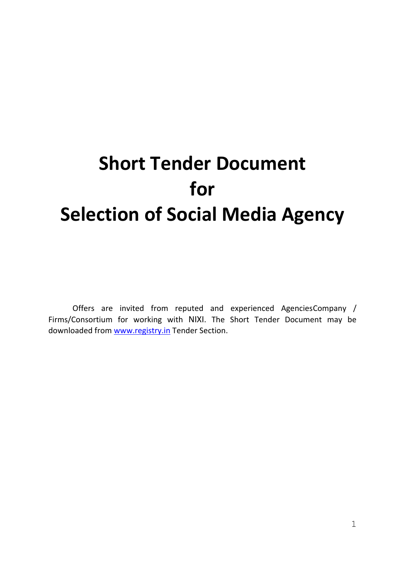# **Short Tender Document for Selection of Social Media Agency**

Offers are invited from reputed and experienced AgenciesCompany / Firms/Consortium for working with NIXI. The Short Tender Document may be downloaded from [www.registry.in](http://www.registry.in/) Tender Section.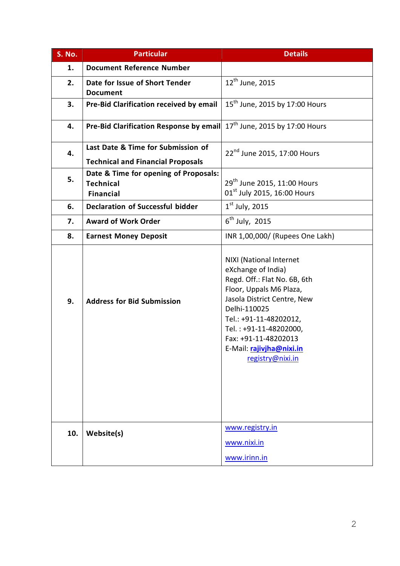| S. No. | <b>Particular</b>                                                              | <b>Details</b>                                                                                                                                                                                                                                                                      |
|--------|--------------------------------------------------------------------------------|-------------------------------------------------------------------------------------------------------------------------------------------------------------------------------------------------------------------------------------------------------------------------------------|
| 1.     | <b>Document Reference Number</b>                                               |                                                                                                                                                                                                                                                                                     |
| 2.     | Date for Issue of Short Tender<br><b>Document</b>                              | 12 <sup>th</sup> June, 2015                                                                                                                                                                                                                                                         |
| 3.     | Pre-Bid Clarification received by email                                        | 15 <sup>th</sup> June, 2015 by 17:00 Hours                                                                                                                                                                                                                                          |
| 4.     | Pre-Bid Clarification Response by email                                        | 17 <sup>th</sup> June, 2015 by 17:00 Hours                                                                                                                                                                                                                                          |
| 4.     | Last Date & Time for Submission of<br><b>Technical and Financial Proposals</b> | 22 <sup>nd</sup> June 2015, 17:00 Hours                                                                                                                                                                                                                                             |
| 5.     | Date & Time for opening of Proposals:<br><b>Technical</b><br><b>Financial</b>  | 29 <sup>th</sup> June 2015, 11:00 Hours<br>01 <sup>st</sup> July 2015, 16:00 Hours                                                                                                                                                                                                  |
| 6.     | <b>Declaration of Successful bidder</b>                                        | $1st$ July, 2015                                                                                                                                                                                                                                                                    |
| 7.     | <b>Award of Work Order</b>                                                     | $6th$ July, 2015                                                                                                                                                                                                                                                                    |
| 8.     | <b>Earnest Money Deposit</b>                                                   | INR 1,00,000/ (Rupees One Lakh)                                                                                                                                                                                                                                                     |
| 9.     | <b>Address for Bid Submission</b>                                              | NIXI (National Internet<br>eXchange of India)<br>Regd. Off.: Flat No. 6B, 6th<br>Floor, Uppals M6 Plaza,<br>Jasola District Centre, New<br>Delhi-110025<br>Tel.: +91-11-48202012,<br>Tel.: +91-11-48202000,<br>Fax: +91-11-48202013<br>E-Mail: rajivjha@nixi.in<br>registry@nixi.in |
| 10.    | Website(s)                                                                     | www.registry.in<br>www.nixi.in<br>www.irinn.in                                                                                                                                                                                                                                      |
|        |                                                                                |                                                                                                                                                                                                                                                                                     |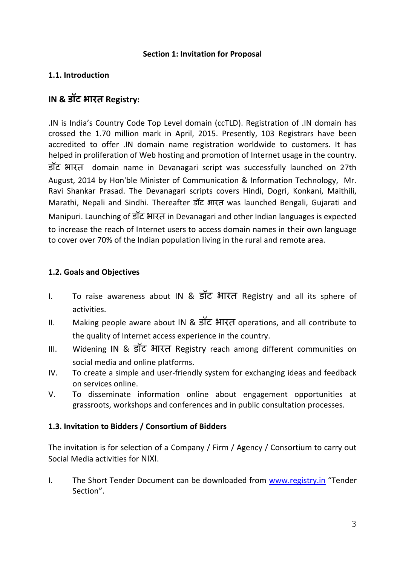#### **Section 1: Invitation for Proposal**

## **1.1. Introduction**

# **IN & डॉट भारत Registry:**

.IN is India's Country Code Top Level domain (ccTLD). Registration of .IN domain has crossed the 1.70 million mark in April, 2015. Presently, 103 Registrars have been accredited to offer .IN domain name registration worldwide to customers. It has helped in proliferation of Web hosting and promotion of Internet usage in the country. डॉट भारत domain name in Devanagari script was successfully launched on 27th August, 2014 by Hon'ble Minister of Communication & Information Technology, Mr. Ravi Shankar Prasad. The Devanagari scripts covers Hindi, Dogri, Konkani, Maithili, Marathi, Nepali and Sindhi. Thereafter डॉट भारत was launched Bengali, Gujarati and Manipuri. Launching of डॉट भारत in Devanagari and other Indian languages is expected

to increase the reach of Internet users to access domain names in their own language to cover over 70% of the Indian population living in the rural and remote area.

## **1.2. Goals and Objectives**

- I. To raise awareness about IN & डॉट भारत Registry and all its sphere of activities.
- II. Making people aware about IN & डॉट भारत operations, and all contribute to the quality of Internet access experience in the country.
- III. Widening IN & डॉट भारत Registry reach among different communities on social media and online platforms.
- IV. To create a simple and user-friendly system for exchanging ideas and feedback on services online.
- V. To disseminate information online about engagement opportunities at grassroots, workshops and conferences and in public consultation processes.

## **1.3. Invitation to Bidders / Consortium of Bidders**

The invitation is for selection of a Company / Firm / Agency / Consortium to carry out Social Media activities for NIXI.

I. The Short Tender Document can be downloaded from [www.registry.in](http://www.registry.in/) "Tender Section".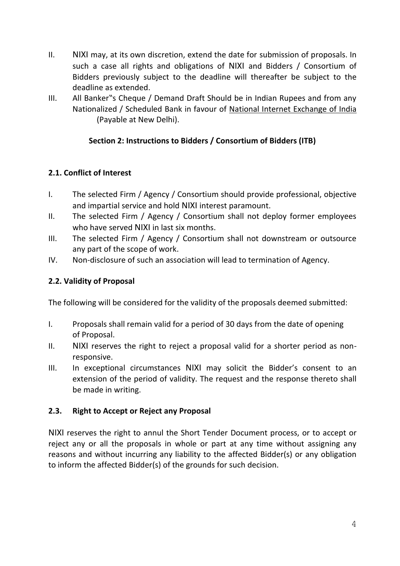- II. NIXI may, at its own discretion, extend the date for submission of proposals. In such a case all rights and obligations of NIXI and Bidders / Consortium of Bidders previously subject to the deadline will thereafter be subject to the deadline as extended.
- III. All Banker"s Cheque / Demand Draft Should be in Indian Rupees and from any Nationalized / Scheduled Bank in favour of National Internet Exchange of India (Payable at New Delhi).

## **Section 2: Instructions to Bidders / Consortium of Bidders (ITB)**

## **2.1. Conflict of Interest**

- I. The selected Firm / Agency / Consortium should provide professional, objective and impartial service and hold NIXI interest paramount.
- II. The selected Firm / Agency / Consortium shall not deploy former employees who have served NIXI in last six months.
- III. The selected Firm / Agency / Consortium shall not downstream or outsource any part of the scope of work.
- IV. Non-disclosure of such an association will lead to termination of Agency.

## **2.2. Validity of Proposal**

The following will be considered for the validity of the proposals deemed submitted:

- I. Proposals shall remain valid for a period of 30 days from the date of opening of Proposal.
- II. NIXI reserves the right to reject a proposal valid for a shorter period as nonresponsive.
- III. In exceptional circumstances NIXI may solicit the Bidder's consent to an extension of the period of validity. The request and the response thereto shall be made in writing.

## **2.3. Right to Accept or Reject any Proposal**

NIXI reserves the right to annul the Short Tender Document process, or to accept or reject any or all the proposals in whole or part at any time without assigning any reasons and without incurring any liability to the affected Bidder(s) or any obligation to inform the affected Bidder(s) of the grounds for such decision.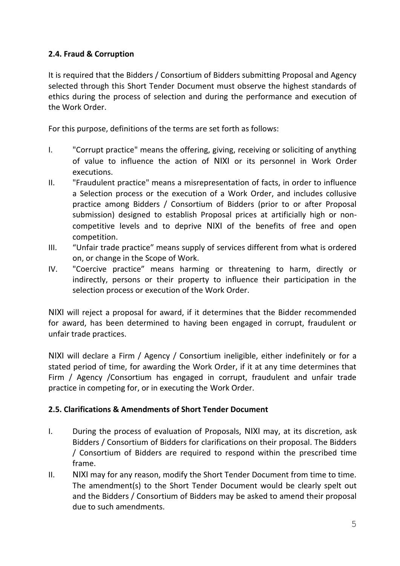## **2.4. Fraud & Corruption**

It is required that the Bidders / Consortium of Bidders submitting Proposal and Agency selected through this Short Tender Document must observe the highest standards of ethics during the process of selection and during the performance and execution of the Work Order.

For this purpose, definitions of the terms are set forth as follows:

- I. "Corrupt practice" means the offering, giving, receiving or soliciting of anything of value to influence the action of NIXI or its personnel in Work Order executions.
- II. "Fraudulent practice" means a misrepresentation of facts, in order to influence a Selection process or the execution of a Work Order, and includes collusive practice among Bidders / Consortium of Bidders (prior to or after Proposal submission) designed to establish Proposal prices at artificially high or noncompetitive levels and to deprive NIXI of the benefits of free and open competition.
- III. "Unfair trade practice" means supply of services different from what is ordered on, or change in the Scope of Work.
- IV. "Coercive practice" means harming or threatening to harm, directly or indirectly, persons or their property to influence their participation in the selection process or execution of the Work Order.

NIXI will reject a proposal for award, if it determines that the Bidder recommended for award, has been determined to having been engaged in corrupt, fraudulent or unfair trade practices.

NIXI will declare a Firm / Agency / Consortium ineligible, either indefinitely or for a stated period of time, for awarding the Work Order, if it at any time determines that Firm / Agency /Consortium has engaged in corrupt, fraudulent and unfair trade practice in competing for, or in executing the Work Order.

## **2.5. Clarifications & Amendments of Short Tender Document**

- I. During the process of evaluation of Proposals, NIXI may, at its discretion, ask Bidders / Consortium of Bidders for clarifications on their proposal. The Bidders / Consortium of Bidders are required to respond within the prescribed time frame.
- II. NIXI may for any reason, modify the Short Tender Document from time to time. The amendment(s) to the Short Tender Document would be clearly spelt out and the Bidders / Consortium of Bidders may be asked to amend their proposal due to such amendments.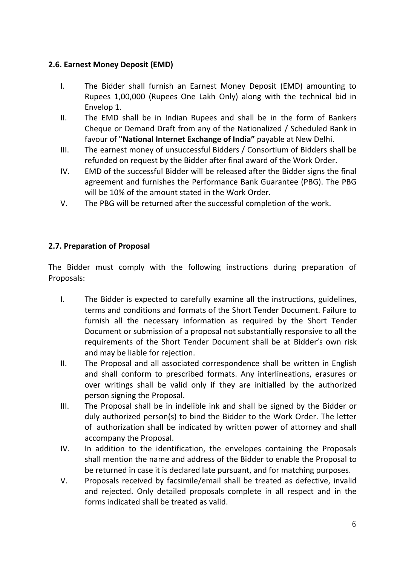## **2.6. Earnest Money Deposit (EMD)**

- I. The Bidder shall furnish an Earnest Money Deposit (EMD) amounting to Rupees 1,00,000 (Rupees One Lakh Only) along with the technical bid in Envelop 1.
- II. The EMD shall be in Indian Rupees and shall be in the form of Bankers Cheque or Demand Draft from any of the Nationalized / Scheduled Bank in favour of **"National Internet Exchange of India"** payable at New Delhi.
- III. The earnest money of unsuccessful Bidders / Consortium of Bidders shall be refunded on request by the Bidder after final award of the Work Order.
- IV. EMD of the successful Bidder will be released after the Bidder signs the final agreement and furnishes the Performance Bank Guarantee (PBG). The PBG will be 10% of the amount stated in the Work Order.
- V. The PBG will be returned after the successful completion of the work.

## **2.7. Preparation of Proposal**

The Bidder must comply with the following instructions during preparation of Proposals:

- I. The Bidder is expected to carefully examine all the instructions, guidelines, terms and conditions and formats of the Short Tender Document. Failure to furnish all the necessary information as required by the Short Tender Document or submission of a proposal not substantially responsive to all the requirements of the Short Tender Document shall be at Bidder's own risk and may be liable for rejection.
- II. The Proposal and all associated correspondence shall be written in English and shall conform to prescribed formats. Any interlineations, erasures or over writings shall be valid only if they are initialled by the authorized person signing the Proposal.
- III. The Proposal shall be in indelible ink and shall be signed by the Bidder or duly authorized person(s) to bind the Bidder to the Work Order. The letter of authorization shall be indicated by written power of attorney and shall accompany the Proposal.
- IV. In addition to the identification, the envelopes containing the Proposals shall mention the name and address of the Bidder to enable the Proposal to be returned in case it is declared late pursuant, and for matching purposes.
- V. Proposals received by facsimile/email shall be treated as defective, invalid and rejected. Only detailed proposals complete in all respect and in the forms indicated shall be treated as valid.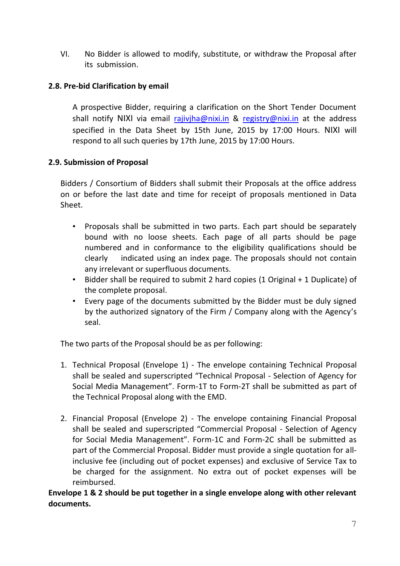VI. No Bidder is allowed to modify, substitute, or withdraw the Proposal after its submission.

#### **2.8. Pre-bid Clarification by email**

A prospective Bidder, requiring a clarification on the Short Tender Document shall notify NIXI via email [rajivjha@nixi.in](mailto:rajivjha@nixi.in) & [registry@nixi.in](mailto:registry@nixi.in) at the address specified in the Data Sheet by 15th June, 2015 by 17:00 Hours. NIXI will respond to all such queries by 17th June, 2015 by 17:00 Hours.

#### **2.9. Submission of Proposal**

Bidders / Consortium of Bidders shall submit their Proposals at the office address on or before the last date and time for receipt of proposals mentioned in Data Sheet.

- Proposals shall be submitted in two parts. Each part should be separately bound with no loose sheets. Each page of all parts should be page numbered and in conformance to the eligibility qualifications should be clearly indicated using an index page. The proposals should not contain any irrelevant or superfluous documents.
- Bidder shall be required to submit 2 hard copies (1 Original + 1 Duplicate) of the complete proposal.
- Every page of the documents submitted by the Bidder must be duly signed by the authorized signatory of the Firm / Company along with the Agency's seal.

The two parts of the Proposal should be as per following:

- 1. Technical Proposal (Envelope 1) The envelope containing Technical Proposal shall be sealed and superscripted "Technical Proposal - Selection of Agency for Social Media Management". Form-1T to Form-2T shall be submitted as part of the Technical Proposal along with the EMD.
- 2. Financial Proposal (Envelope 2) The envelope containing Financial Proposal shall be sealed and superscripted "Commercial Proposal - Selection of Agency for Social Media Management". Form-1C and Form-2C shall be submitted as part of the Commercial Proposal. Bidder must provide a single quotation for allinclusive fee (including out of pocket expenses) and exclusive of Service Tax to be charged for the assignment. No extra out of pocket expenses will be reimbursed.

**Envelope 1 & 2 should be put together in a single envelope along with other relevant documents.**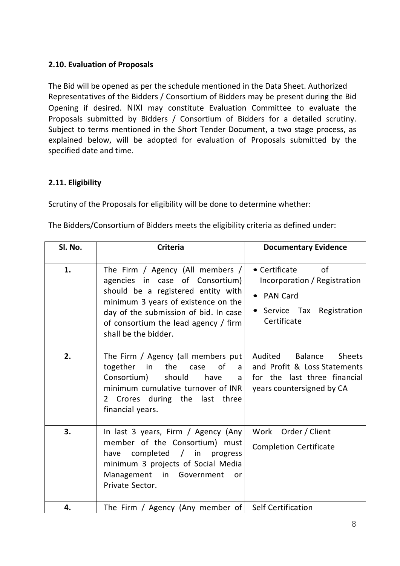## **2.10. Evaluation of Proposals**

The Bid will be opened as per the schedule mentioned in the Data Sheet. Authorized Representatives of the Bidders / Consortium of Bidders may be present during the Bid Opening if desired. NIXI may constitute Evaluation Committee to evaluate the Proposals submitted by Bidders / Consortium of Bidders for a detailed scrutiny. Subject to terms mentioned in the Short Tender Document, a two stage process, as explained below, will be adopted for evaluation of Proposals submitted by the specified date and time.

## **2.11. Eligibility**

Scrutiny of the Proposals for eligibility will be done to determine whether:

The Bidders/Consortium of Bidders meets the eligibility criteria as defined under:

| Sl. No. | <b>Criteria</b>                                                                                                                                                                                                                                           | <b>Documentary Evidence</b>                                                                                                      |
|---------|-----------------------------------------------------------------------------------------------------------------------------------------------------------------------------------------------------------------------------------------------------------|----------------------------------------------------------------------------------------------------------------------------------|
| 1.      | The Firm / Agency (All members /<br>agencies in case of Consortium)<br>should be a registered entity with<br>minimum 3 years of existence on the<br>day of the submission of bid. In case<br>of consortium the lead agency / firm<br>shall be the bidder. | • Certificate of<br>Incorporation / Registration<br><b>PAN Card</b><br>• Service Tax<br>Registration<br>Certificate              |
| 2.      | The Firm / Agency (all members put<br>together<br>the<br>of<br>in<br>case<br>a l<br>Consortium)<br>should<br>have<br>a<br>minimum cumulative turnover of INR<br>2 Crores during the last<br>three<br>financial years.                                     | Audited<br>Balance<br><b>Sheets</b><br>and Profit & Loss Statements<br>for the last three financial<br>years countersigned by CA |
| 3.      | In last 3 years, Firm / Agency (Any<br>member of the Consortium) must<br>completed / in<br>have<br>progress<br>minimum 3 projects of Social Media<br>Management in<br>Government<br>or<br>Private Sector.                                                 | Work Order / Client<br><b>Completion Certificate</b>                                                                             |
| 4.      | The Firm / Agency (Any member of                                                                                                                                                                                                                          | <b>Self Certification</b>                                                                                                        |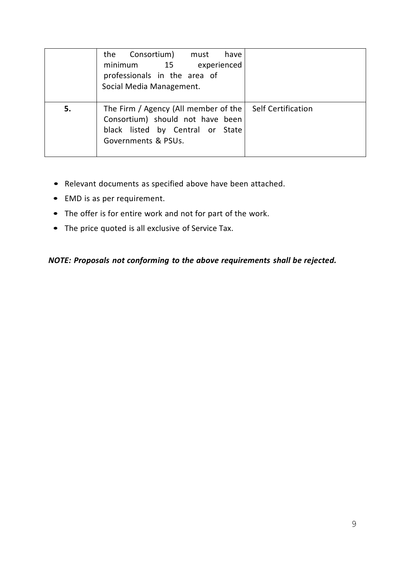|    | the Consortium) must<br>have<br>minimum<br>experienced<br>15<br>professionals in the area of<br>Social Media Management.            |                           |
|----|-------------------------------------------------------------------------------------------------------------------------------------|---------------------------|
| 5. | The Firm / Agency (All member of the<br>Consortium) should not have been<br>black listed by Central or State<br>Governments & PSUs. | <b>Self Certification</b> |

- Relevant documents as specified above have been attached.
- EMD is as per requirement.
- The offer is for entire work and not for part of the work.
- The price quoted is all exclusive of Service Tax.

*NOTE: Proposals not conforming to the above requirements shall be rejected.*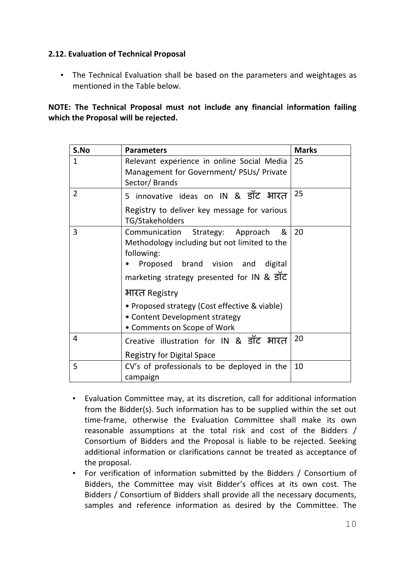## **2.12. Evaluation of Technical Proposal**

• The Technical Evaluation shall be based on the parameters and weightages as mentioned in the Table below.

**NOTE: The Technical Proposal must not include any financial information failing which the Proposal will be rejected.**

| S.No           | <b>Parameters</b>                                                                                                                                                                                                                                                                                                              | <b>Marks</b> |
|----------------|--------------------------------------------------------------------------------------------------------------------------------------------------------------------------------------------------------------------------------------------------------------------------------------------------------------------------------|--------------|
| 1              | Relevant experience in online Social Media<br>Management for Government/ PSUs/ Private<br>Sector/Brands                                                                                                                                                                                                                        | 25           |
| $\overline{2}$ | 5 innovative ideas on IN & डॉट भारत<br>Registry to deliver key message for various<br>TG/Stakeholders                                                                                                                                                                                                                          | 25           |
| 3              | Communication Strategy: Approach<br>&<br>Methodology including but not limited to the<br>following:<br>Proposed brand vision<br>and<br>digital<br>marketing strategy presented for IN & ਤॉट<br>भारत Registry<br>• Proposed strategy (Cost effective & viable)<br>• Content Development strategy<br>• Comments on Scope of Work | 20           |
| 4              | Creative illustration for IN & डॉट भारत<br><b>Registry for Digital Space</b>                                                                                                                                                                                                                                                   | 20           |
| 5              | CV's of professionals to be deployed in the<br>campaign                                                                                                                                                                                                                                                                        | 10           |

- Evaluation Committee may, at its discretion, call for additional information from the Bidder(s). Such information has to be supplied within the set out time-frame, otherwise the Evaluation Committee shall make its own reasonable assumptions at the total risk and cost of the Bidders / Consortium of Bidders and the Proposal is liable to be rejected. Seeking additional information or clarifications cannot be treated as acceptance of the proposal.
- For verification of information submitted by the Bidders / Consortium of Bidders, the Committee may visit Bidder's offices at its own cost. The Bidders / Consortium of Bidders shall provide all the necessary documents, samples and reference information as desired by the Committee. The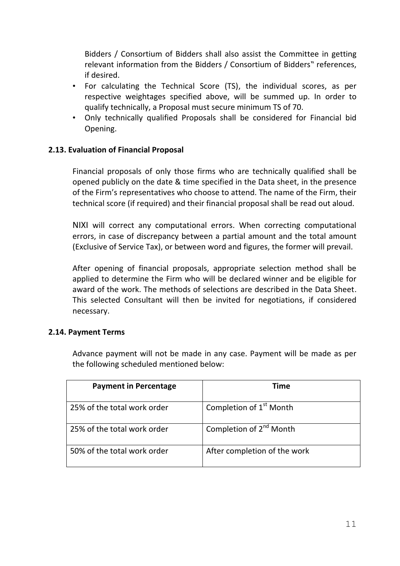Bidders / Consortium of Bidders shall also assist the Committee in getting relevant information from the Bidders / Consortium of Bidders" references, if desired.

- For calculating the Technical Score (TS), the individual scores, as per respective weightages specified above, will be summed up. In order to qualify technically, a Proposal must secure minimum TS of 70.
- Only technically qualified Proposals shall be considered for Financial bid Opening.

## **2.13. Evaluation of Financial Proposal**

Financial proposals of only those firms who are technically qualified shall be opened publicly on the date & time specified in the Data sheet, in the presence of the Firm's representatives who choose to attend. The name of the Firm, their technical score (if required) and their financial proposal shall be read out aloud.

NIXI will correct any computational errors. When correcting computational errors, in case of discrepancy between a partial amount and the total amount (Exclusive of Service Tax), or between word and figures, the former will prevail.

After opening of financial proposals, appropriate selection method shall be applied to determine the Firm who will be declared winner and be eligible for award of the work. The methods of selections are described in the Data Sheet. This selected Consultant will then be invited for negotiations, if considered necessary.

#### **2.14. Payment Terms**

Advance payment will not be made in any case. Payment will be made as per the following scheduled mentioned below:

| <b>Payment in Percentage</b> | Time                                |
|------------------------------|-------------------------------------|
| 25% of the total work order  | Completion of 1 <sup>st</sup> Month |
| 25% of the total work order  | Completion of 2 <sup>nd</sup> Month |
| 50% of the total work order  | After completion of the work        |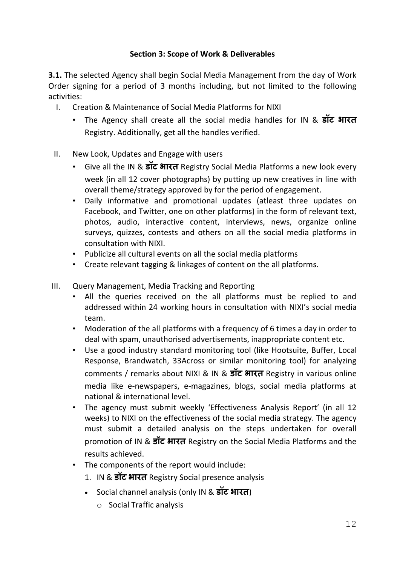## **Section 3: Scope of Work & Deliverables**

**3.1.** The selected Agency shall begin Social Media Management from the day of Work Order signing for a period of 3 months including, but not limited to the following activities:

- I. Creation & Maintenance of Social Media Platforms for NIXI
	- The Agency shall create all the social media handles for IN & **डॉट भारत** Registry. Additionally, get all the handles verified.
- II. New Look, Updates and Engage with users
	- Give all the IN & **डॉट भारत** Registry Social Media Platforms a new look every week (in all 12 cover photographs) by putting up new creatives in line with overall theme/strategy approved by for the period of engagement.
	- Daily informative and promotional updates (atleast three updates on Facebook, and Twitter, one on other platforms) in the form of relevant text, photos, audio, interactive content, interviews, news, organize online surveys, quizzes, contests and others on all the social media platforms in consultation with NIXI.
	- Publicize all cultural events on all the social media platforms
	- Create relevant tagging & linkages of content on the all platforms.
- III. Query Management, Media Tracking and Reporting
	- All the queries received on the all platforms must be replied to and addressed within 24 working hours in consultation with NIXI's social media team.
	- Moderation of the all platforms with a frequency of 6 times a day in order to deal with spam, unauthorised advertisements, inappropriate content etc.
	- Use a good industry standard monitoring tool (like Hootsuite, Buffer, Local Response, Brandwatch, 33Across or similar monitoring tool) for analyzing comments / remarks about NIXI & IN & **डॉट भारत** Registry in various online media like e-newspapers, e-magazines, blogs, social media platforms at national & international level.
	- The agency must submit weekly 'Effectiveness Analysis Report' (in all 12 weeks) to NIXI on the effectiveness of the social media strategy. The agency must submit a detailed analysis on the steps undertaken for overall promotion of IN & **डॉट भारत** Registry on the Social Media Platforms and the results achieved.
	- The components of the report would include:
		- 1. IN & **डॉट भारत** Registry Social presence analysis
		- Social channel analysis (only IN & **डॉट भारत**)
			- o Social Traffic analysis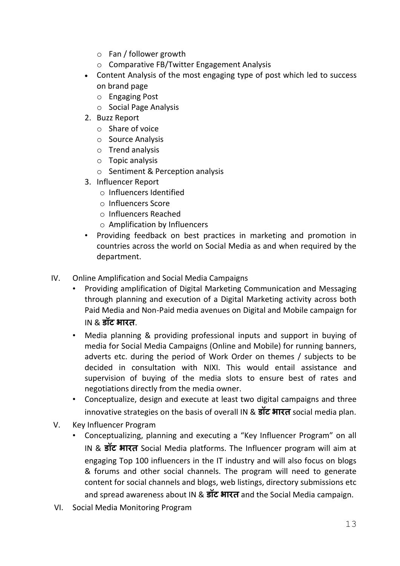- o Fan / follower growth
- o Comparative FB/Twitter Engagement Analysis
- Content Analysis of the most engaging type of post which led to success on brand page
	- o Engaging Post
	- o Social Page Analysis
- 2. Buzz Report
	- o Share of voice
	- o Source Analysis
	- o Trend analysis
	- o Topic analysis
	- o Sentiment & Perception analysis
- 3. Influencer Report
	- o Influencers Identified
	- o Influencers Score
	- o Influencers Reached
	- o Amplification by Influencers
- Providing feedback on best practices in marketing and promotion in countries across the world on Social Media as and when required by the department.
- IV. Online Amplification and Social Media Campaigns
	- Providing amplification of Digital Marketing Communication and Messaging through planning and execution of a Digital Marketing activity across both Paid Media and Non-Paid media avenues on Digital and Mobile campaign for IN & **डॉट भारत**.
	- Media planning & providing professional inputs and support in buying of media for Social Media Campaigns (Online and Mobile) for running banners, adverts etc. during the period of Work Order on themes / subjects to be decided in consultation with NIXI. This would entail assistance and supervision of buying of the media slots to ensure best of rates and negotiations directly from the media owner.
	- Conceptualize, design and execute at least two digital campaigns and three innovative strategies on the basis of overall IN & **डॉट भारत** social media plan.
- V. Key Influencer Program
	- Conceptualizing, planning and executing a "Key Influencer Program" on all IN & **डॉट भारत** Social Media platforms. The Influencer program will aim at engaging Top 100 influencers in the IT industry and will also focus on blogs & forums and other social channels. The program will need to generate content for social channels and blogs, web listings, directory submissions etc and spread awareness about IN & **डॉट भारत** and the Social Media campaign.
- VI. Social Media Monitoring Program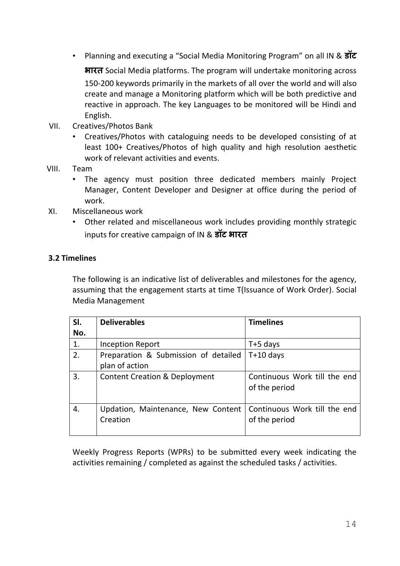• Planning and executing a "Social Media Monitoring Program" on all IN & **डॉट**

**भारत** Social Media platforms. The program will undertake monitoring across 150-200 keywords primarily in the markets of all over the world and will also create and manage a Monitoring platform which will be both predictive and reactive in approach. The key Languages to be monitored will be Hindi and English.

- VII. Creatives/Photos Bank
	- Creatives/Photos with cataloguing needs to be developed consisting of at least 100+ Creatives/Photos of high quality and high resolution aesthetic work of relevant activities and events.
- VIII. Team
	- The agency must position three dedicated members mainly Project Manager, Content Developer and Designer at office during the period of work.
- XI. Miscellaneous work
	- Other related and miscellaneous work includes providing monthly strategic inputs for creative campaign of IN & **डॉट भारत**

#### **3.2 Timelines**

The following is an indicative list of deliverables and milestones for the agency, assuming that the engagement starts at time T(Issuance of Work Order). Social Media Management

| SI. | <b>Deliverables</b>                                    | <b>Timelines</b>                              |
|-----|--------------------------------------------------------|-----------------------------------------------|
| No. |                                                        |                                               |
| 1.  | Inception Report                                       | $T+5$ days                                    |
| 2.  | Preparation & Submission of detailed<br>plan of action | $T+10$ days                                   |
| 3.  | <b>Content Creation &amp; Deployment</b>               | Continuous Work till the end<br>of the period |
| 4.  | Updation, Maintenance, New Content<br>Creation         | Continuous Work till the end<br>of the period |

Weekly Progress Reports (WPRs) to be submitted every week indicating the activities remaining / completed as against the scheduled tasks / activities.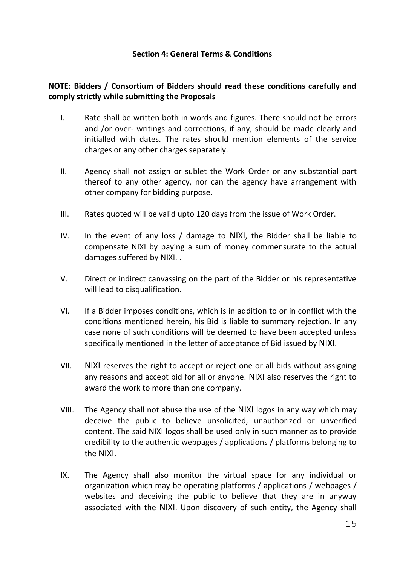#### **Section 4: General Terms & Conditions**

## **NOTE: Bidders / Consortium of Bidders should read these conditions carefully and comply strictly while submitting the Proposals**

- I. Rate shall be written both in words and figures. There should not be errors and /or over- writings and corrections, if any, should be made clearly and initialled with dates. The rates should mention elements of the service charges or any other charges separately.
- II. Agency shall not assign or sublet the Work Order or any substantial part thereof to any other agency, nor can the agency have arrangement with other company for bidding purpose.
- III. Rates quoted will be valid upto 120 days from the issue of Work Order.
- IV. In the event of any loss / damage to NIXI, the Bidder shall be liable to compensate NIXI by paying a sum of money commensurate to the actual damages suffered by NIXI. .
- V. Direct or indirect canvassing on the part of the Bidder or his representative will lead to disqualification.
- VI. If a Bidder imposes conditions, which is in addition to or in conflict with the conditions mentioned herein, his Bid is liable to summary rejection. In any case none of such conditions will be deemed to have been accepted unless specifically mentioned in the letter of acceptance of Bid issued by NIXI.
- VII. NIXI reserves the right to accept or reject one or all bids without assigning any reasons and accept bid for all or anyone. NIXI also reserves the right to award the work to more than one company.
- VIII. The Agency shall not abuse the use of the NIXI logos in any way which may deceive the public to believe unsolicited, unauthorized or unverified content. The said NIXI logos shall be used only in such manner as to provide credibility to the authentic webpages / applications / platforms belonging to the NIXI.
- IX. The Agency shall also monitor the virtual space for any individual or organization which may be operating platforms / applications / webpages / websites and deceiving the public to believe that they are in anyway associated with the NIXI. Upon discovery of such entity, the Agency shall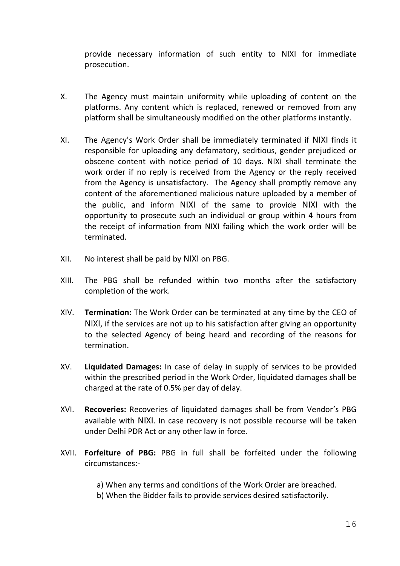provide necessary information of such entity to NIXI for immediate prosecution.

- X. The Agency must maintain uniformity while uploading of content on the platforms. Any content which is replaced, renewed or removed from any platform shall be simultaneously modified on the other platforms instantly.
- XI. The Agency's Work Order shall be immediately terminated if NIXI finds it responsible for uploading any defamatory, seditious, gender prejudiced or obscene content with notice period of 10 days. NIXI shall terminate the work order if no reply is received from the Agency or the reply received from the Agency is unsatisfactory. The Agency shall promptly remove any content of the aforementioned malicious nature uploaded by a member of the public, and inform NIXI of the same to provide NIXI with the opportunity to prosecute such an individual or group within 4 hours from the receipt of information from NIXI failing which the work order will be terminated.
- XII. No interest shall be paid by NIXI on PBG.
- XIII. The PBG shall be refunded within two months after the satisfactory completion of the work.
- XIV. **Termination:** The Work Order can be terminated at any time by the CEO of NIXI, if the services are not up to his satisfaction after giving an opportunity to the selected Agency of being heard and recording of the reasons for termination.
- XV. **Liquidated Damages:** In case of delay in supply of services to be provided within the prescribed period in the Work Order, liquidated damages shall be charged at the rate of 0.5% per day of delay.
- XVI. **Recoveries:** Recoveries of liquidated damages shall be from Vendor's PBG available with NIXI. In case recovery is not possible recourse will be taken under Delhi PDR Act or any other law in force.
- XVII. **Forfeiture of PBG:** PBG in full shall be forfeited under the following circumstances:-

a) When any terms and conditions of the Work Order are breached.

b) When the Bidder fails to provide services desired satisfactorily.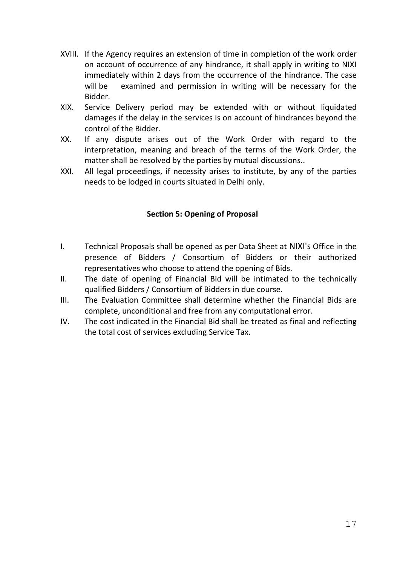- XVIII. If the Agency requires an extension of time in completion of the work order on account of occurrence of any hindrance, it shall apply in writing to NIXI immediately within 2 days from the occurrence of the hindrance. The case will be examined and permission in writing will be necessary for the Bidder.
- XIX. Service Delivery period may be extended with or without liquidated damages if the delay in the services is on account of hindrances beyond the control of the Bidder.
- XX. If any dispute arises out of the Work Order with regard to the interpretation, meaning and breach of the terms of the Work Order, the matter shall be resolved by the parties by mutual discussions..
- XXI. All legal proceedings, if necessity arises to institute, by any of the parties needs to be lodged in courts situated in Delhi only.

## **Section 5: Opening of Proposal**

- I. Technical Proposals shall be opened as per Data Sheet at NIXI's Office in the presence of Bidders / Consortium of Bidders or their authorized representatives who choose to attend the opening of Bids.
- II. The date of opening of Financial Bid will be intimated to the technically qualified Bidders / Consortium of Bidders in due course.
- III. The Evaluation Committee shall determine whether the Financial Bids are complete, unconditional and free from any computational error.
- IV. The cost indicated in the Financial Bid shall be treated as final and reflecting the total cost of services excluding Service Tax.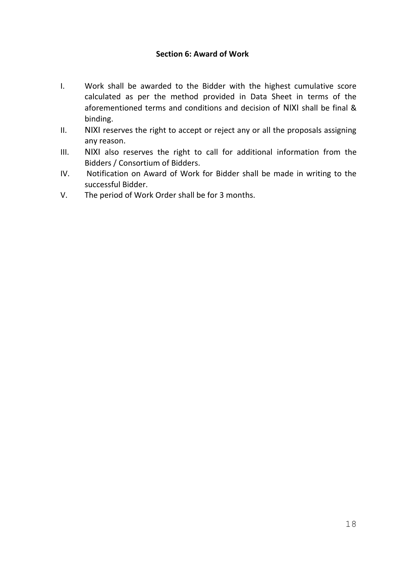#### **Section 6: Award of Work**

- I. Work shall be awarded to the Bidder with the highest cumulative score calculated as per the method provided in Data Sheet in terms of the aforementioned terms and conditions and decision of NIXI shall be final & binding.
- II. NIXI reserves the right to accept or reject any or all the proposals assigning any reason.
- III. NIXI also reserves the right to call for additional information from the Bidders / Consortium of Bidders.
- IV. Notification on Award of Work for Bidder shall be made in writing to the successful Bidder.
- V. The period of Work Order shall be for 3 months.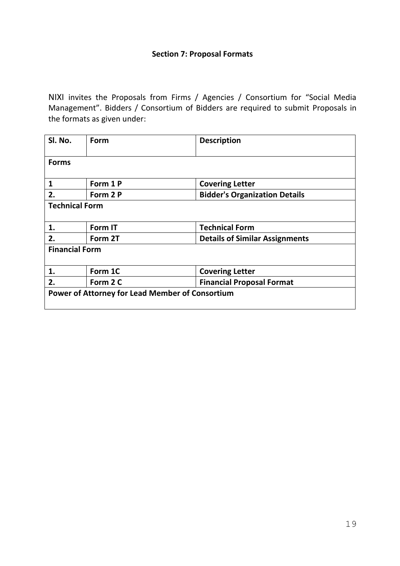#### **Section 7: Proposal Formats**

NIXI invites the Proposals from Firms / Agencies / Consortium for "Social Media Management". Bidders / Consortium of Bidders are required to submit Proposals in the formats as given under:

| SI. No.                                                | Form     | <b>Description</b>                    |  |
|--------------------------------------------------------|----------|---------------------------------------|--|
| <b>Forms</b>                                           |          |                                       |  |
| 1                                                      | Form 1 P | <b>Covering Letter</b>                |  |
| 2.                                                     | Form 2 P | <b>Bidder's Organization Details</b>  |  |
| <b>Technical Form</b>                                  |          |                                       |  |
| 1.                                                     | Form IT  | <b>Technical Form</b>                 |  |
| 2.                                                     | Form 2T  | <b>Details of Similar Assignments</b> |  |
| <b>Financial Form</b>                                  |          |                                       |  |
| 1.                                                     | Form 1C  | <b>Covering Letter</b>                |  |
| 2.                                                     | Form 2 C | <b>Financial Proposal Format</b>      |  |
| <b>Power of Attorney for Lead Member of Consortium</b> |          |                                       |  |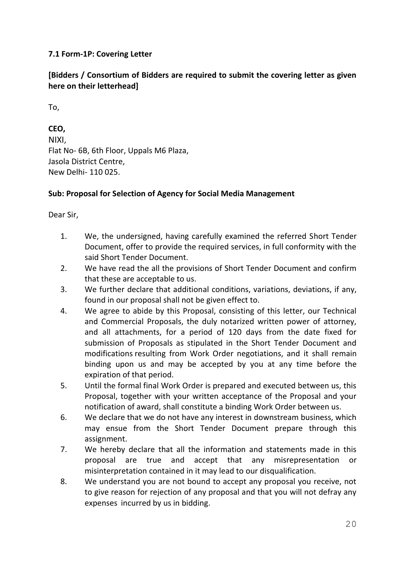## **7.1 Form-1P: Covering Letter**

## **[Bidders / Consortium of Bidders are required to submit the covering letter as given here on their letterhead]**

To,

**CEO,** NIXI, Flat No- 6B, 6th Floor, Uppals M6 Plaza, Jasola District Centre, New Delhi- 110 025.

## **Sub: Proposal for Selection of Agency for Social Media Management**

Dear Sir,

- 1. We, the undersigned, having carefully examined the referred Short Tender Document, offer to provide the required services, in full conformity with the said Short Tender Document.
- 2. We have read the all the provisions of Short Tender Document and confirm that these are acceptable to us.
- 3. We further declare that additional conditions, variations, deviations, if any, found in our proposal shall not be given effect to.
- 4. We agree to abide by this Proposal, consisting of this letter, our Technical and Commercial Proposals, the duly notarized written power of attorney, and all attachments, for a period of 120 days from the date fixed for submission of Proposals as stipulated in the Short Tender Document and modifications resulting from Work Order negotiations, and it shall remain binding upon us and may be accepted by you at any time before the expiration of that period.
- 5. Until the formal final Work Order is prepared and executed between us, this Proposal, together with your written acceptance of the Proposal and your notification of award, shall constitute a binding Work Order between us.
- 6. We declare that we do not have any interest in downstream business, which may ensue from the Short Tender Document prepare through this assignment.
- 7. We hereby declare that all the information and statements made in this proposal are true and accept that any misrepresentation or misinterpretation contained in it may lead to our disqualification.
- 8. We understand you are not bound to accept any proposal you receive, not to give reason for rejection of any proposal and that you will not defray any expenses incurred by us in bidding.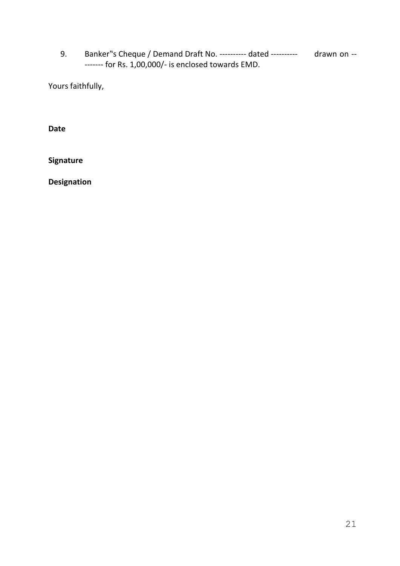9. Banker"s Cheque / Demand Draft No. ---------- dated ---------- drawn on --------- for Rs. 1,00,000/- is enclosed towards EMD.

Yours faithfully,

**Date**

**Signature**

**Designation**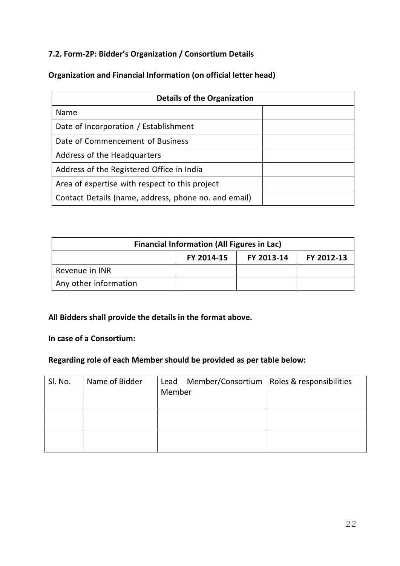## **7.2. Form-2P: Bidder's Organization / Consortium Details**

## **Organization and Financial Information (on official letter head)**

| <b>Details of the Organization</b>                   |  |  |
|------------------------------------------------------|--|--|
| <b>Name</b>                                          |  |  |
| Date of Incorporation / Establishment                |  |  |
| Date of Commencement of Business                     |  |  |
| Address of the Headquarters                          |  |  |
| Address of the Registered Office in India            |  |  |
| Area of expertise with respect to this project       |  |  |
| Contact Details (name, address, phone no. and email) |  |  |

| <b>Financial Information (All Figures in Lac)</b> |  |  |  |
|---------------------------------------------------|--|--|--|
| FY 2014-15<br>FY 2013-14<br>FY 2012-13            |  |  |  |
| Revenue in INR                                    |  |  |  |
| Any other information                             |  |  |  |

# **All Bidders shall provide the details in the format above.**

#### **In case of a Consortium:**

# **Regarding role of each Member should be provided as per table below:**

| SI. No. | Name of Bidder | Lead Member/Consortium   Roles & responsibilities<br>Member |  |
|---------|----------------|-------------------------------------------------------------|--|
|         |                |                                                             |  |
|         |                |                                                             |  |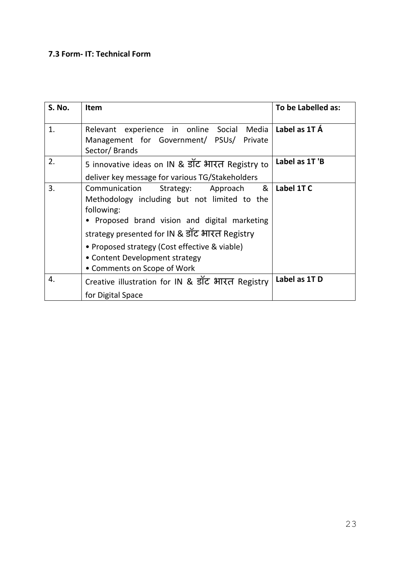## **7.3 Form- IT: Technical Form**

| <b>S. No.</b> | <b>Item</b>                                                                                                                                                                                                                                                                                                                | To be Labelled as: |
|---------------|----------------------------------------------------------------------------------------------------------------------------------------------------------------------------------------------------------------------------------------------------------------------------------------------------------------------------|--------------------|
| 1.            | Relevant experience in online Social Media<br>Management for Government/ PSUs/ Private<br>Sector/Brands                                                                                                                                                                                                                    | Label as 1T A      |
| 2.            | 5 innovative ideas on IN & डॉट भारत Registry to<br>deliver key message for various TG/Stakeholders                                                                                                                                                                                                                         | Label as 1T'B      |
| 3.            | &<br>Communication<br>Strategy: Approach<br>Methodology including but not limited to the<br>following:<br>• Proposed brand vision and digital marketing<br>strategy presented for IN & डॉट भारत Registry<br>• Proposed strategy (Cost effective & viable)<br>• Content Development strategy<br>• Comments on Scope of Work | Label 1TC          |
| 4.            | Creative illustration for IN & डॉट भारत Registry                                                                                                                                                                                                                                                                           | Label as 1TD       |
|               | for Digital Space                                                                                                                                                                                                                                                                                                          |                    |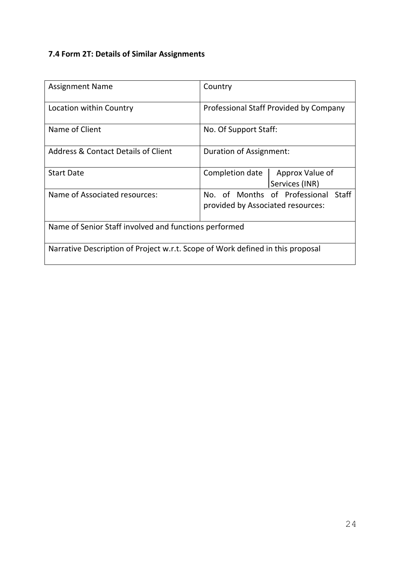# **7.4 Form 2T: Details of Similar Assignments**

| <b>Assignment Name</b>                                                         | Country                                                                  |  |
|--------------------------------------------------------------------------------|--------------------------------------------------------------------------|--|
| Location within Country                                                        | Professional Staff Provided by Company                                   |  |
| Name of Client                                                                 | No. Of Support Staff:                                                    |  |
| <b>Address &amp; Contact Details of Client</b>                                 | Duration of Assignment:                                                  |  |
| <b>Start Date</b>                                                              | Approx Value of<br>Completion date<br>Services (INR)                     |  |
| Name of Associated resources:                                                  | No. of Months of Professional Staff<br>provided by Associated resources: |  |
| Name of Senior Staff involved and functions performed                          |                                                                          |  |
| Narrative Description of Project w.r.t. Scope of Work defined in this proposal |                                                                          |  |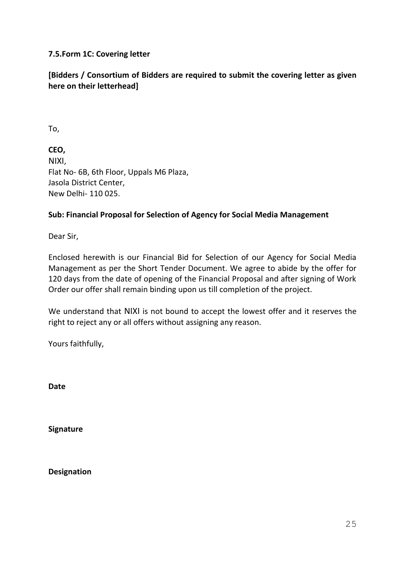## **7.5.Form 1C: Covering letter**

## **[Bidders / Consortium of Bidders are required to submit the covering letter as given here on their letterhead]**

To,

**CEO,** NIXI, Flat No- 6B, 6th Floor, Uppals M6 Plaza, Jasola District Center, New Delhi- 110 025.

## **Sub: Financial Proposal for Selection of Agency for Social Media Management**

Dear Sir,

Enclosed herewith is our Financial Bid for Selection of our Agency for Social Media Management as per the Short Tender Document. We agree to abide by the offer for 120 days from the date of opening of the Financial Proposal and after signing of Work Order our offer shall remain binding upon us till completion of the project.

We understand that NIXI is not bound to accept the lowest offer and it reserves the right to reject any or all offers without assigning any reason.

Yours faithfully,

**Date**

**Signature**

**Designation**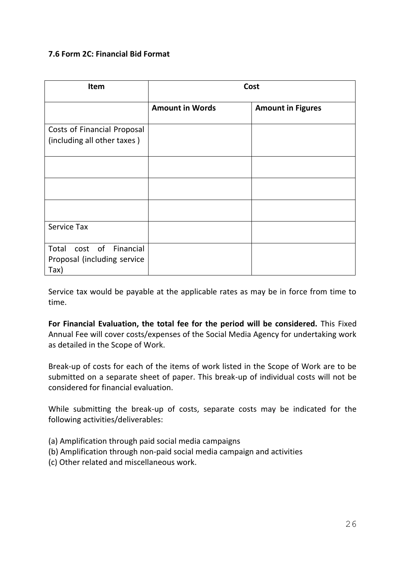#### **7.6 Form 2C: Financial Bid Format**

| Item                                                           | Cost                   |                          |
|----------------------------------------------------------------|------------------------|--------------------------|
|                                                                | <b>Amount in Words</b> | <b>Amount in Figures</b> |
| Costs of Financial Proposal<br>(including all other taxes)     |                        |                          |
|                                                                |                        |                          |
|                                                                |                        |                          |
|                                                                |                        |                          |
| <b>Service Tax</b>                                             |                        |                          |
| Total cost of Financial<br>Proposal (including service<br>Tax) |                        |                          |

Service tax would be payable at the applicable rates as may be in force from time to time.

**For Financial Evaluation, the total fee for the period will be considered.** This Fixed Annual Fee will cover costs/expenses of the Social Media Agency for undertaking work as detailed in the Scope of Work.

Break-up of costs for each of the items of work listed in the Scope of Work are to be submitted on a separate sheet of paper. This break-up of individual costs will not be considered for financial evaluation.

While submitting the break-up of costs, separate costs may be indicated for the following activities/deliverables:

- (a) Amplification through paid social media campaigns
- (b) Amplification through non-paid social media campaign and activities
- (c) Other related and miscellaneous work.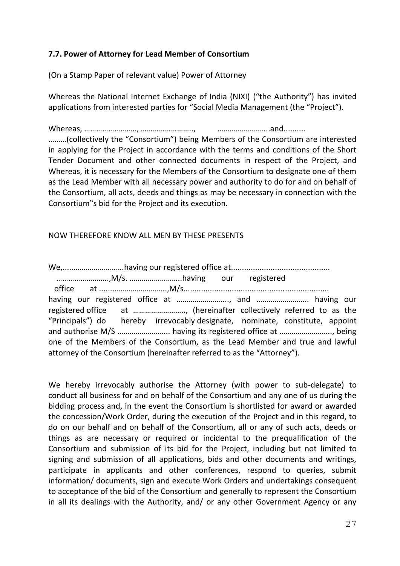## **7.7. Power of Attorney for Lead Member of Consortium**

(On a Stamp Paper of relevant value) Power of Attorney

Whereas the National Internet Exchange of India (NIXI) ("the Authority") has invited applications from interested parties for "Social Media Management (the "Project").

Whereas, …………………….., …………………….., ……………………..and.......... ………(collectively the "Consortium") being Members of the Consortium are interested in applying for the Project in accordance with the terms and conditions of the Short Tender Document and other connected documents in respect of the Project, and Whereas, it is necessary for the Members of the Consortium to designate one of them as the Lead Member with all necessary power and authority to do for and on behalf of the Consortium, all acts, deeds and things as may be necessary in connection with the Consortium"s bid for the Project and its execution.

#### NOW THEREFORE KNOW ALL MEN BY THESE PRESENTS

We,.....…………………….having our registered office at............................................. ……………………..,M/s. ……………………..having our registered office at .......……………………..,M/s.................................................................. having our registered office at ........................., and ............................ having our registered office at …………………….., (hereinafter collectively referred to as the "Principals") do hereby irrevocably designate, nominate, constitute, appoint and authorise M/S …………………….. having its registered office at …………………….., being one of the Members of the Consortium, as the Lead Member and true and lawful attorney of the Consortium (hereinafter referred to as the "Attorney").

We hereby irrevocably authorise the Attorney (with power to sub-delegate) to conduct all business for and on behalf of the Consortium and any one of us during the bidding process and, in the event the Consortium is shortlisted for award or awarded the concession/Work Order, during the execution of the Project and in this regard, to do on our behalf and on behalf of the Consortium, all or any of such acts, deeds or things as are necessary or required or incidental to the prequalification of the Consortium and submission of its bid for the Project, including but not limited to signing and submission of all applications, bids and other documents and writings, participate in applicants and other conferences, respond to queries, submit information/ documents, sign and execute Work Orders and undertakings consequent to acceptance of the bid of the Consortium and generally to represent the Consortium in all its dealings with the Authority, and/ or any other Government Agency or any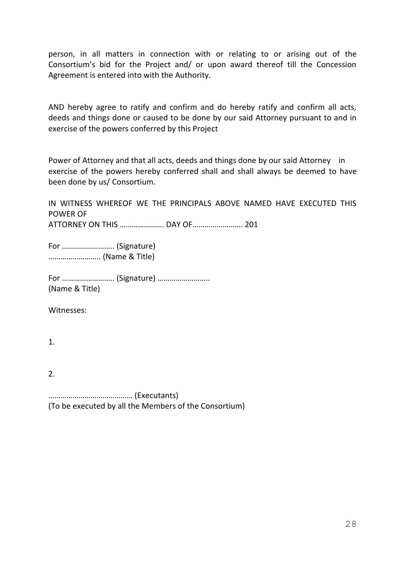person, in all matters in connection with or relating to or arising out of the Consortium's bid for the Project and/ or upon award thereof till the Concession Agreement is entered into with the Authority.

AND hereby agree to ratify and confirm and do hereby ratify and confirm all acts, deeds and things done or caused to be done by our said Attorney pursuant to and in exercise of the powers conferred by this Project

Power of Attorney and that all acts, deeds and things done by our said Attorney in exercise of the powers hereby conferred shall and shall always be deemed to have been done by us/ Consortium.

IN WITNESS WHEREOF WE THE PRINCIPALS ABOVE NAMED HAVE EXECUTED THIS POWER OF ATTORNEY ON THIS …………………. DAY OF……………………. 201

For …………………….. (Signature) …………………….. (Name & Title)

For …………………….. (Signature) …………………….. (Name & Title)

Witnesses:

1.

2.

…………………………………… (Executants) (To be executed by all the Members of the Consortium)